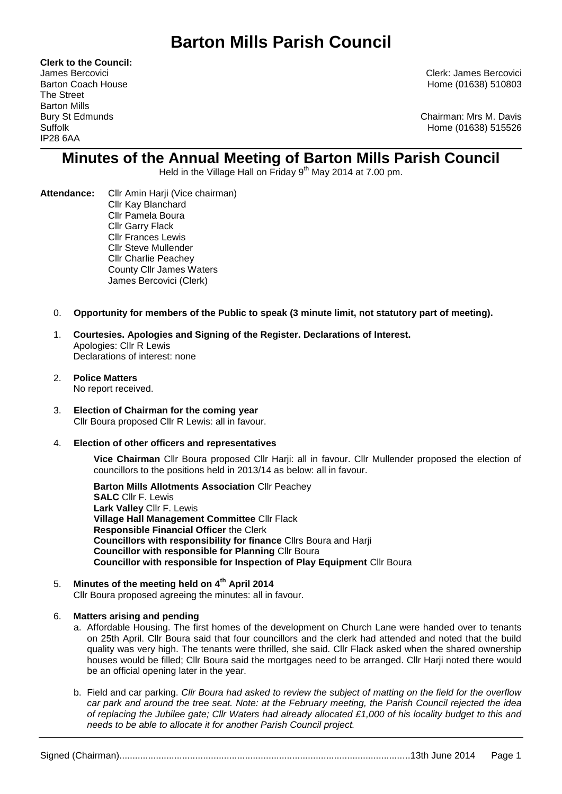**Clerk to the Council:** The Street Barton Mills IP28 6AA

James Bercovici Clerk: James Bercovici Barton Coach House **Home (01638)** 510803

Bury St Edmunds Chairman: Mrs M. Davis Suffolk Home (01638) 515526

# **Minutes of the Annual Meeting of Barton Mills Parish Council**

Held in the Village Hall on Friday 9<sup>th</sup> May 2014 at 7.00 pm.

- Attendance: Cllr Amin Harii (Vice chairman) Cllr Kay Blanchard Cllr Pamela Boura Cllr Garry Flack Cllr Frances Lewis Cllr Steve Mullender Cllr Charlie Peachey County Cllr James Waters James Bercovici (Clerk)
	- 0. **Opportunity for members of the Public to speak (3 minute limit, not statutory part of meeting).**
	- 1. **Courtesies. Apologies and Signing of the Register. Declarations of Interest.** Apologies: Cllr R Lewis Declarations of interest: none
	- 2. **Police Matters**  No report received.
	- 3. **Election of Chairman for the coming year**  Cllr Boura proposed Cllr R Lewis: all in favour.
	- 4. **Election of other officers and representatives**

**Vice Chairman** Cllr Boura proposed Cllr Harji: all in favour. Cllr Mullender proposed the election of councillors to the positions held in 2013/14 as below: all in favour.

**Barton Mills Allotments Association** Cllr Peachey **SALC** Cllr F. Lewis **Lark Valley** Cllr F. Lewis **Village Hall Management Committee** Cllr Flack **Responsible Financial Officer** the Clerk **Councillors with responsibility for finance** Cllrs Boura and Harji **Councillor with responsible for Planning** Cllr Boura **Councillor with responsible for Inspection of Play Equipment** Cllr Boura

5. **Minutes of the meeting held on 4th April 2014** Cllr Boura proposed agreeing the minutes: all in favour.

# 6. **Matters arising and pending**

- a. Affordable Housing. The first homes of the development on Church Lane were handed over to tenants on 25th April. Cllr Boura said that four councillors and the clerk had attended and noted that the build quality was very high. The tenants were thrilled, she said. Cllr Flack asked when the shared ownership houses would be filled; Cllr Boura said the mortgages need to be arranged. Cllr Harji noted there would be an official opening later in the year.
- b. Field and car parking. *Cllr Boura had asked to review the subject of matting on the field for the overflow car park and around the tree seat. Note: at the February meeting, the Parish Council rejected the idea of replacing the Jubilee gate; Cllr Waters had already allocated £1,000 of his locality budget to this and needs to be able to allocate it for another Parish Council project.*

Signed (Chairman)...............................................................................................................13th June 2014 Page 1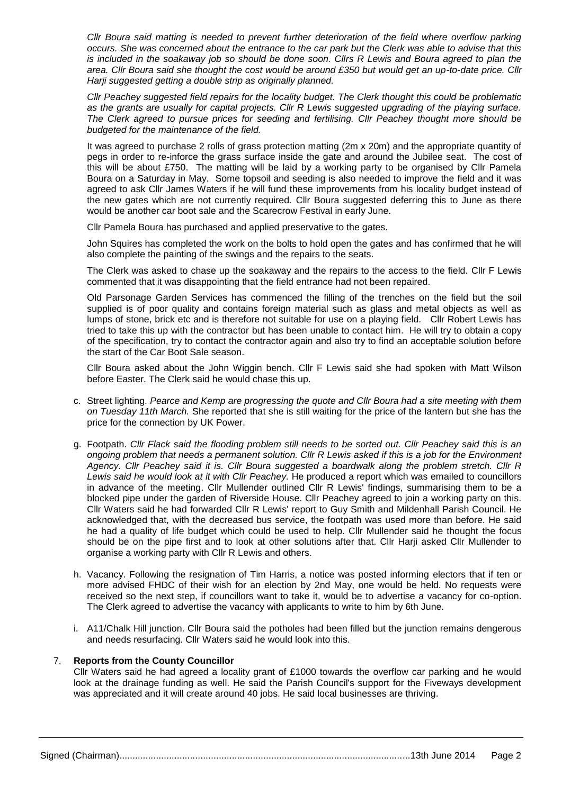*Cllr Boura said matting is needed to prevent further deterioration of the field where overflow parking occurs. She was concerned about the entrance to the car park but the Clerk was able to advise that this is included in the soakaway job so should be done soon. Cllrs R Lewis and Boura agreed to plan the area. Cllr Boura said she thought the cost would be around £350 but would get an up-to-date price. Cllr Harji suggested getting a double strip as originally planned.*

*Cllr Peachey suggested field repairs for the locality budget. The Clerk thought this could be problematic as the grants are usually for capital projects. Cllr R Lewis suggested upgrading of the playing surface. The Clerk agreed to pursue prices for seeding and fertilising. Cllr Peachey thought more should be budgeted for the maintenance of the field.*

It was agreed to purchase 2 rolls of grass protection matting (2m x 20m) and the appropriate quantity of pegs in order to re-inforce the grass surface inside the gate and around the Jubilee seat. The cost of this will be about £750. The matting will be laid by a working party to be organised by Cllr Pamela Boura on a Saturday in May. Some topsoil and seeding is also needed to improve the field and it was agreed to ask Cllr James Waters if he will fund these improvements from his locality budget instead of the new gates which are not currently required. Cllr Boura suggested deferring this to June as there would be another car boot sale and the Scarecrow Festival in early June.

Cllr Pamela Boura has purchased and applied preservative to the gates.

John Squires has completed the work on the bolts to hold open the gates and has confirmed that he will also complete the painting of the swings and the repairs to the seats.

The Clerk was asked to chase up the soakaway and the repairs to the access to the field. Cllr F Lewis commented that it was disappointing that the field entrance had not been repaired.

Old Parsonage Garden Services has commenced the filling of the trenches on the field but the soil supplied is of poor quality and contains foreign material such as glass and metal objects as well as lumps of stone, brick etc and is therefore not suitable for use on a playing field. Cllr Robert Lewis has tried to take this up with the contractor but has been unable to contact him. He will try to obtain a copy of the specification, try to contact the contractor again and also try to find an acceptable solution before the start of the Car Boot Sale season.

Cllr Boura asked about the John Wiggin bench. Cllr F Lewis said she had spoken with Matt Wilson before Easter. The Clerk said he would chase this up.

- c. Street lighting. *Pearce and Kemp are progressing the quote and Cllr Boura had a site meeting with them on Tuesday 11th March.* She reported that she is still waiting for the price of the lantern but she has the price for the connection by UK Power.
- g. Footpath. *Cllr Flack said the flooding problem still needs to be sorted out. Cllr Peachey said this is an ongoing problem that needs a permanent solution. Cllr R Lewis asked if this is a job for the Environment Agency. Cllr Peachey said it is. Cllr Boura suggested a boardwalk along the problem stretch. Cllr R Lewis said he would look at it with Cllr Peachey.* He produced a report which was emailed to councillors in advance of the meeting. Cllr Mullender outlined Cllr R Lewis' findings, summarising them to be a blocked pipe under the garden of Riverside House. Cllr Peachey agreed to join a working party on this. Cllr Waters said he had forwarded Cllr R Lewis' report to Guy Smith and Mildenhall Parish Council. He acknowledged that, with the decreased bus service, the footpath was used more than before. He said he had a quality of life budget which could be used to help. Cllr Mullender said he thought the focus should be on the pipe first and to look at other solutions after that. Cllr Harji asked Cllr Mullender to organise a working party with Cllr R Lewis and others.
- h. Vacancy. Following the resignation of Tim Harris, a notice was posted informing electors that if ten or more advised FHDC of their wish for an election by 2nd May, one would be held. No requests were received so the next step, if councillors want to take it, would be to advertise a vacancy for co-option. The Clerk agreed to advertise the vacancy with applicants to write to him by 6th June.
- i. A11/Chalk Hill junction. Cllr Boura said the potholes had been filled but the junction remains dengerous and needs resurfacing. Cllr Waters said he would look into this.

#### 7. **Reports from the County Councillor**

Cllr Waters said he had agreed a locality grant of £1000 towards the overflow car parking and he would look at the drainage funding as well. He said the Parish Council's support for the Fiveways development was appreciated and it will create around 40 jobs. He said local businesses are thriving.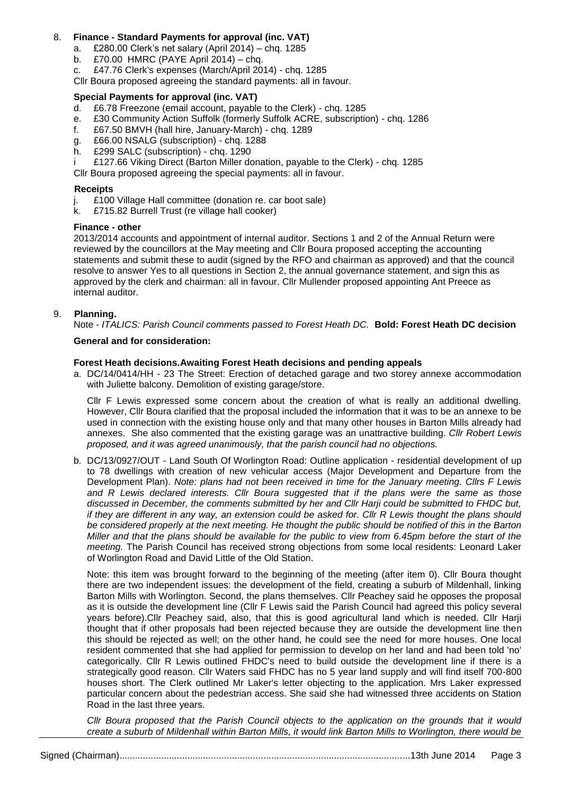# 8. **Finance - Standard Payments for approval (inc. VAT)**

- a. £280.00 Clerk's net salary (April 2014) chq. 1285
- b. £70.00 HMRC (PAYE April 2014) chq.
- c. £47.76 Clerk's expenses (March/April 2014) chq. 1285
- Cllr Boura proposed agreeing the standard payments: all in favour.

# **Special Payments for approval (inc. VAT)**

- d. £6.78 Freezone (email account, payable to the Clerk) chq. 1285
- e. £30 Community Action Suffolk (formerly Suffolk ACRE, subscription) chq. 1286
- f. £67.50 BMVH (hall hire, January-March) chq. 1289
- g. £66.00 NSALG (subscription) chq. 1288
- h. £299 SALC (subscription) chq. 1290
- £127.66 Viking Direct (Barton Miller donation, payable to the Clerk) chq. 1285

Cllr Boura proposed agreeing the special payments: all in favour.

## **Receipts**

- j. £100 Village Hall committee (donation re. car boot sale)
- k. £715.82 Burrell Trust (re village hall cooker)

#### **Finance - other**

2013/2014 accounts and appointment of internal auditor. Sections 1 and 2 of the Annual Return were reviewed by the councillors at the May meeting and Cllr Boura proposed accepting the accounting statements and submit these to audit (signed by the RFO and chairman as approved) and that the council resolve to answer Yes to all questions in Section 2, the annual governance statement, and sign this as approved by the clerk and chairman: all in favour. Cllr Mullender proposed appointing Ant Preece as internal auditor.

#### 9. **Planning.**

Note - *ITALICS: Parish Council comments passed to Forest Heath DC.* **Bold: Forest Heath DC decision**

#### **General and for consideration:**

#### **Forest Heath decisions.Awaiting Forest Heath decisions and pending appeals**

a. DC/14/0414/HH - 23 The Street: Erection of detached garage and two storey annexe accommodation with Juliette balcony. Demolition of existing garage/store.

Cllr F Lewis expressed some concern about the creation of what is really an additional dwelling. However, Cllr Boura clarified that the proposal included the information that it was to be an annexe to be used in connection with the existing house only and that many other houses in Barton Mills already had annexes. She also commented that the existing garage was an unattractive building. *Cllr Robert Lewis proposed, and it was agreed unanimously, that the parish council had no objections.*

b. DC/13/0927/OUT - Land South Of Worlington Road: Outline application - residential development of up to 78 dwellings with creation of new vehicular access (Major Development and Departure from the Development Plan). *Note: plans had not been received in time for the January meeting. Cllrs F Lewis and R Lewis declared interests. Cllr Boura suggested that if the plans were the same as those discussed in December, the comments submitted by her and Cllr Harji could be submitted to FHDC but, if they are different in any way, an extension could be asked for. Cllr R Lewis thought the plans should be considered properly at the next meeting. He thought the public should be notified of this in the Barton Miller and that the plans should be available for the public to view from 6.45pm before the start of the meeting.* The Parish Council has received strong objections from some local residents: Leonard Laker of Worlington Road and David Little of the Old Station.

Note: this item was brought forward to the beginning of the meeting (after item 0). Cllr Boura thought there are two independent issues: the development of the field, creating a suburb of Mildenhall, linking Barton Mills with Worlington. Second, the plans themselves. Cllr Peachey said he opposes the proposal as it is outside the development line (Cllr F Lewis said the Parish Council had agreed this policy several years before).Cllr Peachey said, also, that this is good agricultural land which is needed. Cllr Harji thought that if other proposals had been rejected because they are outside the development line then this should be rejected as well; on the other hand, he could see the need for more houses. One local resident commented that she had applied for permission to develop on her land and had been told 'no' categorically. Cllr R Lewis outlined FHDC's need to build outside the development line if there is a strategically good reason. Cllr Waters said FHDC has no 5 year land supply and will find itself 700-800 houses short. The Clerk outlined Mr Laker's letter objecting to the application. Mrs Laker expressed particular concern about the pedestrian access. She said she had witnessed three accidents on Station Road in the last three years.

*Cllr Boura proposed that the Parish Council objects to the application on the grounds that it would create a suburb of Mildenhall within Barton Mills, it would link Barton Mills to Worlington, there would be*